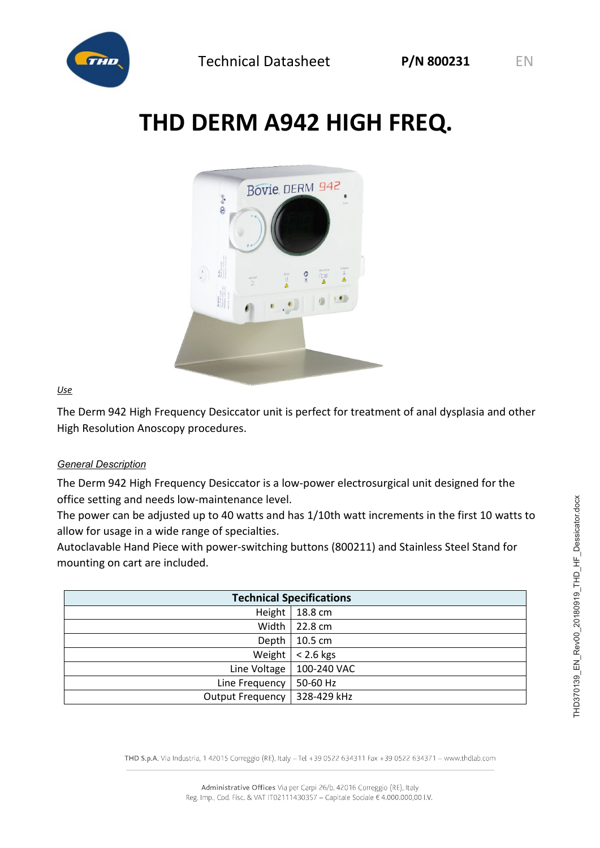

# **THD DERM A942 HIGH FREQ.**



#### *Use*

The Derm 942 High Frequency Desiccator unit is perfect for treatment of anal dysplasia and other High Resolution Anoscopy procedures.

#### *General Description*

The Derm 942 High Frequency Desiccator is a low-power electrosurgical unit designed for the office setting and needs low-maintenance level.

The power can be adjusted up to 40 watts and has 1/10th watt increments in the first 10 watts to allow for usage in a wide range of specialties.

Autoclavable Hand Piece with power-switching buttons (800211) and Stainless Steel Stand for mounting on cart are included.

| <b>Technical Specifications</b> |             |
|---------------------------------|-------------|
| Height                          | 18.8 cm     |
| Width                           | 22.8 cm     |
| Depth                           | 10.5 cm     |
| Weight                          | $< 2.6$ kgs |
| Line Voltage                    | 100-240 VAC |
| Line Frequency                  | 50-60 Hz    |
| <b>Output Frequency</b>         | 328-429 kHz |

THD S.p.A. Via Industria, 142015 Correggio (RE), Italy -Tel +39 0522 634311 Fax +39 0522 634371 - www.thdlab.com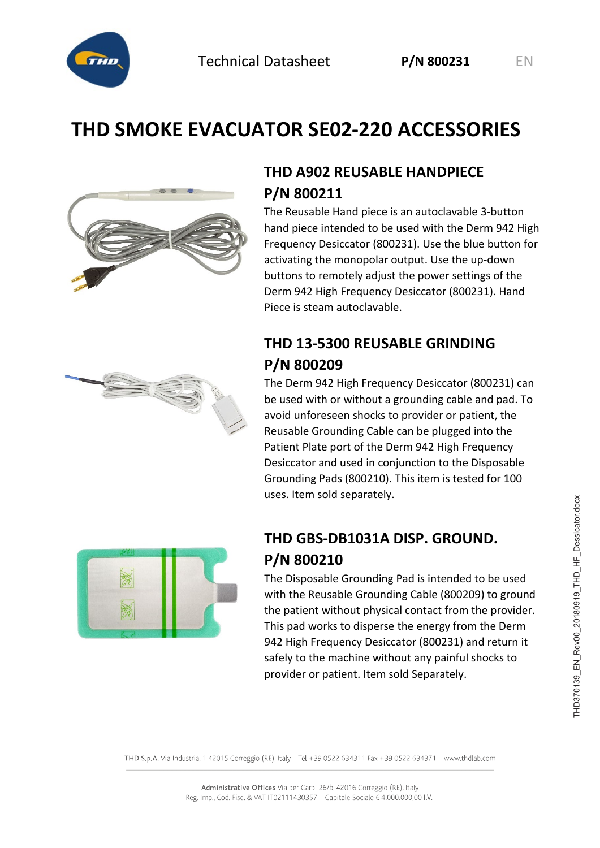

# **THD SMOKE EVACUATOR SE02-220 ACCESSORIES**



### **THD A902 REUSABLE HANDPIECE P/N 800211**

The Reusable Hand piece is an autoclavable 3-button hand piece intended to be used with the Derm 942 High Frequency Desiccator (800231). Use the blue button for activating the monopolar output. Use the up-down buttons to remotely adjust the power settings of the Derm 942 High Frequency Desiccator (800231). Hand Piece is steam autoclavable.

### **THD 13-5300 REUSABLE GRINDING P/N 800209**

The Derm 942 High Frequency Desiccator (800231) can be used with or without a grounding cable and pad. To avoid unforeseen shocks to provider or patient, the Reusable Grounding Cable can be plugged into the Patient Plate port of the Derm 942 High Frequency Desiccator and used in conjunction to the Disposable Grounding Pads (800210). This item is tested for 100 uses. Item sold separately.



### **THD GBS-DB1031A DISP. GROUND. P/N 800210**

The Disposable Grounding Pad is intended to be used with the Reusable Grounding Cable (800209) to ground the patient without physical contact from the provider. This pad works to disperse the energy from the Derm 942 High Frequency Desiccator (800231) and return it safely to the machine without any painful shocks to provider or patient. Item sold Separately.

THD S.p.A. Via Industria, 142015 Correggio (RE), Italy -Tel +39 0522 634311 Fax +39 0522 634371 - www.thdlab.com